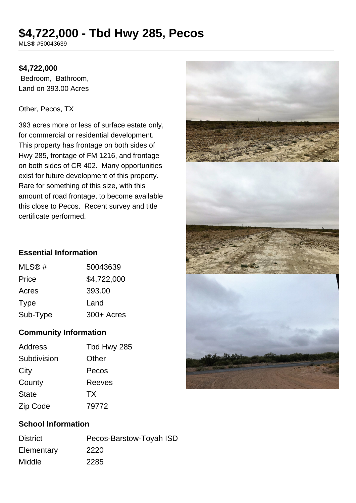# **\$4,722,000 - Tbd Hwy 285, Pecos**

MLS® #50043639

## **\$4,722,000**

 Bedroom, Bathroom, Land on 393.00 Acres

#### Other, Pecos, TX

393 acres more or less of surface estate only, for commercial or residential development. This property has frontage on both sides of Hwy 285, frontage of FM 1216, and frontage on both sides of CR 402. Many opportunities exist for future development of this property. Rare for something of this size, with this amount of road frontage, to become available this close to Pecos. Recent survey and title certificate performed.

# **Essential Information**

| MLS@#       | 50043639    |
|-------------|-------------|
| Price       | \$4,722,000 |
| Acres       | 393.00      |
| <b>Type</b> | Land        |
| Sub-Type    | 300+ Acres  |
|             |             |

#### **Community Information**

| <b>Address</b> | Tbd Hwy 285 |
|----------------|-------------|
| Subdivision    | Other       |
| City           | Pecos       |
| County         | Reeves      |
| <b>State</b>   | <b>TX</b>   |
| Zip Code       | 79772       |



# **School Information**

| <b>District</b> | Pecos-Barstow-Toyah ISD |
|-----------------|-------------------------|
| Elementary      | 2220                    |
| <b>Middle</b>   | 2285                    |